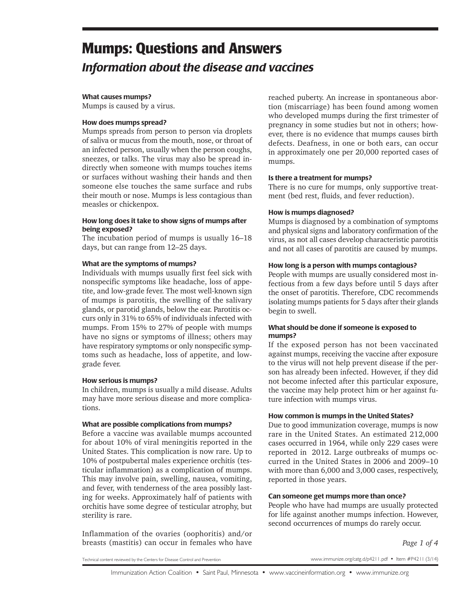# **Mumps: Questions and Answers** *Information about the disease and vaccines*

#### What causes mumps?

Mumps is caused by a virus.

#### How does mumps spread?

Mumps spreads from person to person via droplets of saliva or mucus from the mouth, nose, or throat of an infected person, usually when the person coughs, sneezes, or talks. The virus may also be spread indirectly when someone with mumps touches items or surfaces without washing their hands and then someone else touches the same surface and rubs their mouth or nose. Mumps is less contagious than measles or chickenpox.

#### How long does it take to show signs of mumps after being exposed?

The incubation period of mumps is usually 16–18 days, but can range from 12–25 days.

#### What are the symptoms of mumps?

Individuals with mumps usually first feel sick with nonspecific symptoms like headache, loss of appetite, and low-grade fever. The most well-known sign of mumps is parotitis, the swelling of the salivary glands, or parotid glands, below the ear. Parotitis occurs only in 31% to 65% of individuals infected with mumps. From 15% to 27% of people with mumps have no signs or symptoms of illness; others may have respiratory symptoms or only nonspecific symptoms such as headache, loss of appetite, and lowgrade fever.

# How serious is mumps?

In children, mumps is usually a mild disease. Adults may have more serious disease and more complications.

#### What are possible complications from mumps?

Before a vaccine was available mumps accounted for about 10% of viral meningitis reported in the United States. This complication is now rare. Up to 10% of postpubertal males experience orchitis (testicular inflammation) as a complication of mumps. This may involve pain, swelling, nausea, vomiting, and fever, with tenderness of the area possibly lasting for weeks. Approximately half of patients with orchitis have some degree of testicular atrophy, but sterility is rare.

Inflammation of the ovaries (oophoritis) and/or breasts (mastitis) can occur in females who have reached puberty. An increase in spontaneous abortion (miscarriage) has been found among women who developed mumps during the first trimester of pregnancy in some studies but not in others; however, there is no evidence that mumps causes birth defects. Deafness, in one or both ears, can occur in approximately one per 20,000 reported cases of mumps.

#### Is there a treatment for mumps?

There is no cure for mumps, only supportive treatment (bed rest, fluids, and fever reduction).

#### How is mumps diagnosed?

Mumps is diagnosed by a combination of symptoms and physical signs and laboratory confirmation of the virus, as not all cases develop characteristic parotitis and not all cases of parotitis are caused by mumps.

#### How long is a person with mumps contagious?

People with mumps are usually considered most infectious from a few days before until 5 days after the onset of parotitis. Therefore, CDC recommends isolating mumps patients for 5 days after their glands begin to swell.

#### What should be done if someone is exposed to mumps?

If the exposed person has not been vaccinated against mumps, receiving the vaccine after exposure to the virus will not help prevent disease if the person has already been infected. However, if they did not become infected after this particular exposure, the vaccine may help protect him or her against future infection with mumps virus.

#### How common is mumps in the United States?

Due to good immunization coverage, mumps is now rare in the United States. An estimated 212,000 cases occurred in 1964, while only 229 cases were reported in 2012. Large outbreaks of mumps occurred in the United States in 2006 and 2009–10 with more than 6,000 and 3,000 cases, respectively, reported in those years.

#### Can someone get mumps more than once?

People who have had mumps are usually protected for life against another mumps infection. However, second occurrences of mumps do rarely occur.

*Page 1 of 4*

Technical content reviewed by the Centers for Disease Control and Prevention

www.immunize.org/catg.d/p4211.pdf • Item #P4211 (3/14)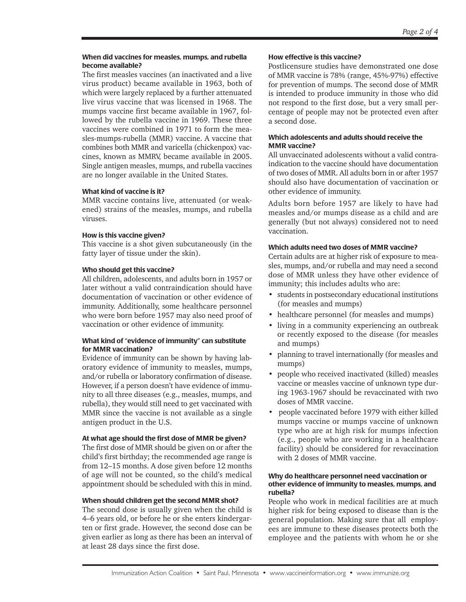#### When did vaccines for measles, mumps, and rubella become available?

The first measles vaccines (an inactivated and a live virus product) became available in 1963, both of which were largely replaced by a further attenuated live virus vaccine that was licensed in 1968. The mumps vaccine first became available in 1967, followed by the rubella vaccine in 1969. These three vaccines were combined in 1971 to form the measles-mumps-rubella (MMR) vaccine. A vaccine that combines both MMR and varicella (chickenpox) vaccines, known as MMRV, became available in 2005. Single antigen measles, mumps, and rubella vaccines are no longer available in the United States.

# What kind of vaccine is it?

MMR vaccine contains live, attenuated (or weakened) strains of the measles, mumps, and rubella viruses.

# How is this vaccine given?

This vaccine is a shot given subcutaneously (in the fatty layer of tissue under the skin).

# Who should get this vaccine?

All children, adolescents, and adults born in 1957 or later without a valid contraindication should have documentation of vaccination or other evidence of immunity. Additionally, some healthcare personnel who were born before 1957 may also need proof of vaccination or other evidence of immunity.

# What kind of "evidence of immunity" can substitute for MMR vaccination?

Evidence of immunity can be shown by having laboratory evidence of immunity to measles, mumps, and/or rubella or laboratory confirmation of disease. However, if a person doesn't have evidence of immunity to all three diseases (e.g., measles, mumps, and rubella), they would still need to get vaccinated with MMR since the vaccine is not available as a single antigen product in the U.S.

# At what age should the first dose of MMR be given?

The first dose of MMR should be given on or after the child's first birthday; the recommended age range is from 12–15 months. A dose given before 12 months of age will not be counted, so the child's medical appointment should be scheduled with this in mind.

# When should children get the second MMR shot?

The second dose is usually given when the child is 4–6 years old, or before he or she enters kindergarten or first grade. However, the second dose can be given earlier as long as there has been an interval of at least 28 days since the first dose.

# How effective is this vaccine?

Postlicensure studies have demonstrated one dose of MMR vaccine is 78% (range, 45%-97%) effective for prevention of mumps. The second dose of MMR is intended to produce immunity in those who did not respond to the first dose, but a very small percentage of people may not be protected even after a second dose.

# Which adolescents and adults should receive the MMR vaccine?

All unvaccinated adolescents without a valid contraindication to the vaccine should have documentation of two doses of MMR. All adults born in or after 1957 should also have documentation of vaccination or other evidence of immunity.

Adults born before 1957 are likely to have had measles and/or mumps disease as a child and are generally (but not always) considered not to need vaccination.

# Which adults need two doses of MMR vaccine?

Certain adults are at higher risk of exposure to measles, mumps, and/or rubella and may need a second dose of MMR unless they have other evidence of immunity; this includes adults who are:

- students in postsecondary educational institutions (for measles and mumps)
- healthcare personnel (for measles and mumps)
- living in a community experiencing an outbreak or recently exposed to the disease (for measles and mumps)
- planning to travel internationally (for measles and mumps)
- people who received inactivated (killed) measles vaccine or measles vaccine of unknown type during 1963-1967 should be revaccinated with two doses of MMR vaccine.
- people vaccinated before 1979 with either killed mumps vaccine or mumps vaccine of unknown type who are at high risk for mumps infection (e.g., people who are working in a healthcare facility) should be considered for revaccination with 2 doses of MMR vaccine.

#### Why do healthcare personnel need vaccination or other evidence of immunity to measles, mumps, and rubella?

People who work in medical facilities are at much higher risk for being exposed to disease than is the general population. Making sure that all employees are immune to these diseases protects both the employee and the patients with whom he or she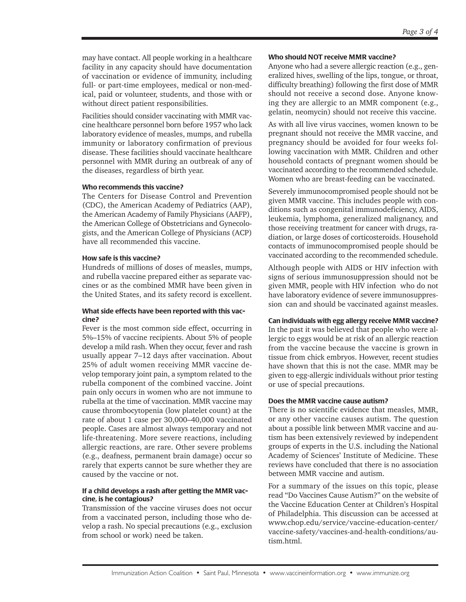may have contact. All people working in a healthcare facility in any capacity should have documentation of vaccination or evidence of immunity, including full- or part-time employees, medical or non-medical, paid or volunteer, students, and those with or without direct patient responsibilities.

Facilities should consider vaccinating with MMR vaccine healthcare personnel born before 1957 who lack laboratory evidence of measles, mumps, and rubella immunity or laboratory confirmation of previous disease. These facilities should vaccinate healthcare personnel with MMR during an outbreak of any of the diseases, regardless of birth year.

# Who recommends this vaccine?

The Centers for Disease Control and Prevention (CDC), the American Academy of Pediatrics (AAP), the American Academy of Family Physicians (AAFP), the American College of Obstetricians and Gynecologists, and the American College of Physicians (ACP) have all recommended this vaccine.

# How safe is this vaccine?

Hundreds of millions of doses of measles, mumps, and rubella vaccine prepared either as separate vaccines or as the combined MMR have been given in the United States, and its safety record is excellent.

#### What side effects have been reported with this vaccine?

Fever is the most common side effect, occurring in 5%–15% of vaccine recipients. About 5% of people develop a mild rash. When they occur, fever and rash usually appear 7–12 days after vaccination. About 25% of adult women receiving MMR vaccine develop temporary joint pain, a symptom related to the rubella component of the combined vaccine. Joint pain only occurs in women who are not immune to rubella at the time of vaccination. MMR vaccine may cause thrombocytopenia (low platelet count) at the rate of about 1 case per 30,000–40,000 vaccinated people. Cases are almost always temporary and not life-threatening. More severe reactions, including allergic reactions, are rare. Other severe problems (e.g., deafness, permanent brain damage) occur so rarely that experts cannot be sure whether they are caused by the vaccine or not.

# If a child develops a rash after getting the MMR vaccine, is he contagious?

Transmission of the vaccine viruses does not occur from a vaccinated person, including those who develop a rash. No special precautions (e.g., exclusion from school or work) need be taken.

# Who should NOT receive MMR vaccine?

Anyone who had a severe allergic reaction (e.g., generalized hives, swelling of the lips, tongue, or throat, difficulty breathing) following the first dose of MMR should not receive a second dose. Anyone knowing they are allergic to an MMR component (e.g., gelatin, neomycin) should not receive this vaccine.

As with all live virus vaccines, women known to be pregnant should not receive the MMR vaccine, and pregnancy should be avoided for four weeks following vaccination with MMR. Children and other household contacts of pregnant women should be vaccinated according to the recommended schedule. Women who are breast-feeding can be vaccinated.

Severely immunocompromised people should not be given MMR vaccine. This includes people with conditions such as congenital immunodeficiency, AIDS, leukemia, lymphoma, generalized malignancy, and those receiving treatment for cancer with drugs, radiation, or large doses of corticosteroids. Household contacts of immunocompromised people should be vaccinated according to the recommended schedule.

Although people with AIDS or HIV infection with signs of serious immunosuppression should not be given MMR, people with HIV infection who do not have laboratory evidence of severe immunosuppression can and should be vaccinated against measles.

# Can individuals with egg allergy receive MMR vaccine?

In the past it was believed that people who were allergic to eggs would be at risk of an allergic reaction from the vaccine because the vaccine is grown in tissue from chick embryos. However, recent studies have shown that this is not the case. MMR may be given to egg-allergic individuals without prior testing or use of special precautions.

# Does the MMR vaccine cause autism?

There is no scientific evidence that measles, MMR, or any other vaccine causes autism. The question about a possible link between MMR vaccine and autism has been extensively reviewed by independent groups of experts in the U.S. including the National Academy of Sciences' Institute of Medicine. These reviews have concluded that there is no association between MMR vaccine and autism.

For a summary of the issues on this topic, please read "Do Vaccines Cause Autism?" on the website of the Vaccine Education Center at Children's Hospital of Philadelphia. This discussion can be accessed at www.chop.edu/service/vaccine-education-center/ vaccine-safety/vaccines-and-health-conditions/autism.html.